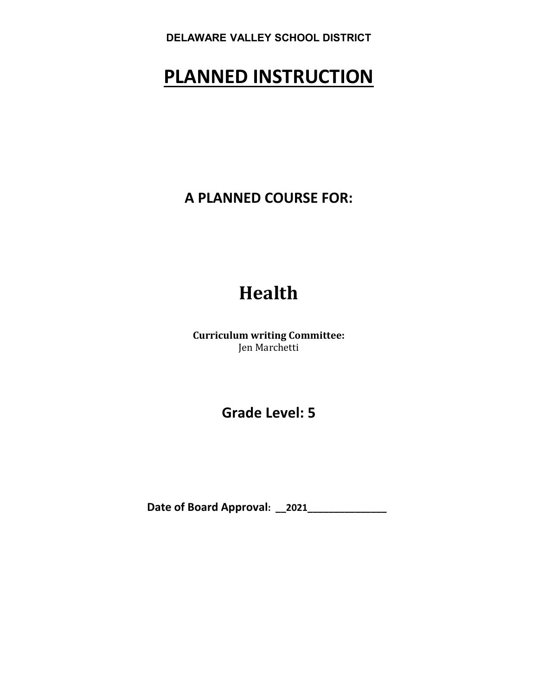# **PLANNED INSTRUCTION**

**A PLANNED COURSE FOR:**

# **Health**

**Curriculum writing Committee:** Jen Marchetti

**Grade Level: 5** 

**Date of Board Approval: \_\_2021\_\_\_\_\_\_\_\_\_\_\_\_\_\_\_**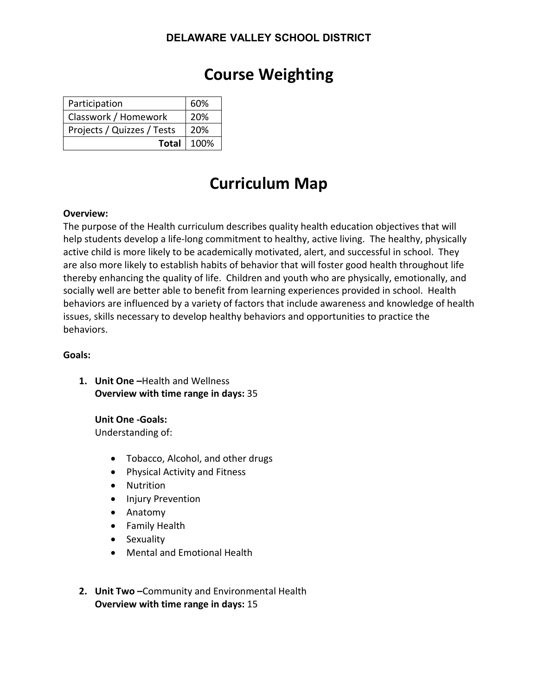## **Course Weighting**

| Participation              | 60%            |
|----------------------------|----------------|
| Classwork / Homework       | 20%            |
| Projects / Quizzes / Tests | 20%            |
|                            | Total $ 100\%$ |

## **Curriculum Map**

#### **Overview:**

The purpose of the Health curriculum describes quality health education objectives that will help students develop a life-long commitment to healthy, active living. The healthy, physically active child is more likely to be academically motivated, alert, and successful in school. They are also more likely to establish habits of behavior that will foster good health throughout life thereby enhancing the quality of life. Children and youth who are physically, emotionally, and socially well are better able to benefit from learning experiences provided in school. Health behaviors are influenced by a variety of factors that include awareness and knowledge of health issues, skills necessary to develop healthy behaviors and opportunities to practice the behaviors.

#### **Goals:**

**1. Unit One –**Health and Wellness **Overview with time range in days:** 35

#### **Unit One -Goals:**

Understanding of:

- Tobacco, Alcohol, and other drugs
- Physical Activity and Fitness
- Nutrition
- Injury Prevention
- Anatomy
- Family Health
- Sexuality
- Mental and Emotional Health
- **2. Unit Two –**Community and Environmental Health **Overview with time range in days:** 15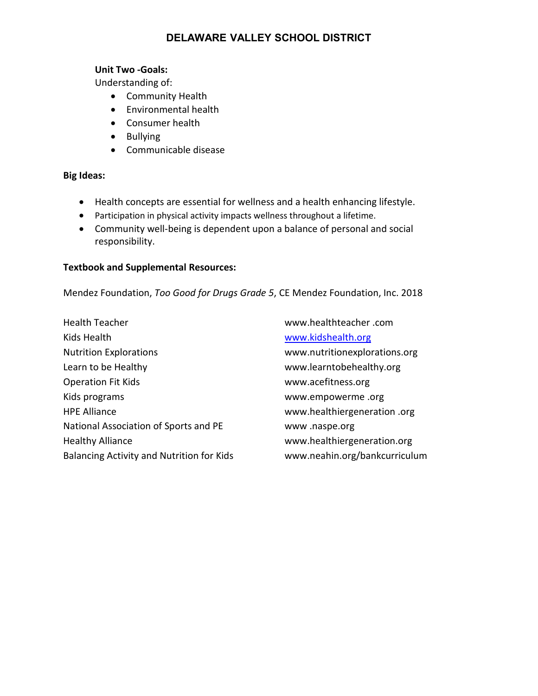#### **Unit Two -Goals:**

Understanding of:

- Community Health
- Environmental health
- Consumer health
- Bullying
- Communicable disease

#### **Big Ideas:**

- Health concepts are essential for wellness and a health enhancing lifestyle.
- Participation in physical activity impacts wellness throughout a lifetime.
- Community well-being is dependent upon a balance of personal and social responsibility.

#### **Textbook and Supplemental Resources:**

Mendez Foundation, *Too Good for Drugs Grade 5*, CE Mendez Foundation, Inc. 2018

Health Teacher www.healthteacher .com Kids Health Washington Washington Washington Washington Washington Washington Washington Washington Washington Nutrition Explorations www.nutritionexplorations.org Learn to be Healthy **Example 20** and the www.learntobehealthy.org Operation Fit Kids www.acefitness.org Kids programs www.empowerme .org HPE Alliance www.healthiergeneration .org National Association of Sports and PE www .naspe.org Healthy Alliance www.healthiergeneration.org Balancing Activity and Nutrition for Kids www.neahin.org/bankcurriculum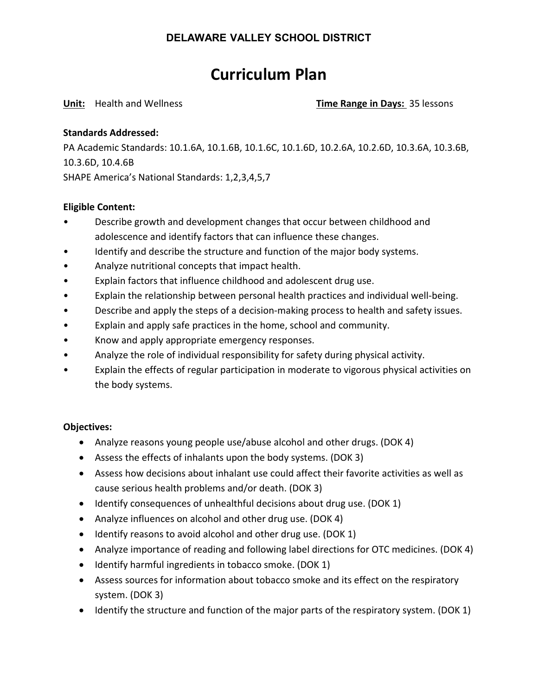## **Curriculum Plan**

**Unit:** Health and Wellness **Time Range in Days:** 35 lessons

#### **Standards Addressed:**

PA Academic Standards: 10.1.6A, 10.1.6B, 10.1.6C, 10.1.6D, 10.2.6A, 10.2.6D, 10.3.6A, 10.3.6B, 10.3.6D, 10.4.6B

SHAPE America's National Standards: 1,2,3,4,5,7

#### **Eligible Content:**

- Describe growth and development changes that occur between childhood and adolescence and identify factors that can influence these changes.
- Identify and describe the structure and function of the major body systems.
- Analyze nutritional concepts that impact health.
- Explain factors that influence childhood and adolescent drug use.
- Explain the relationship between personal health practices and individual well-being.
- Describe and apply the steps of a decision-making process to health and safety issues.
- Explain and apply safe practices in the home, school and community.
- Know and apply appropriate emergency responses.
- Analyze the role of individual responsibility for safety during physical activity.
- Explain the effects of regular participation in moderate to vigorous physical activities on the body systems.

#### **Objectives:**

- Analyze reasons young people use/abuse alcohol and other drugs. (DOK 4)
- Assess the effects of inhalants upon the body systems. (DOK 3)
- Assess how decisions about inhalant use could affect their favorite activities as well as cause serious health problems and/or death. (DOK 3)
- Identify consequences of unhealthful decisions about drug use. (DOK 1)
- Analyze influences on alcohol and other drug use. (DOK 4)
- Identify reasons to avoid alcohol and other drug use. (DOK 1)
- Analyze importance of reading and following label directions for OTC medicines. (DOK 4)
- Identify harmful ingredients in tobacco smoke. (DOK 1)
- Assess sources for information about tobacco smoke and its effect on the respiratory system. (DOK 3)
- Identify the structure and function of the major parts of the respiratory system. (DOK 1)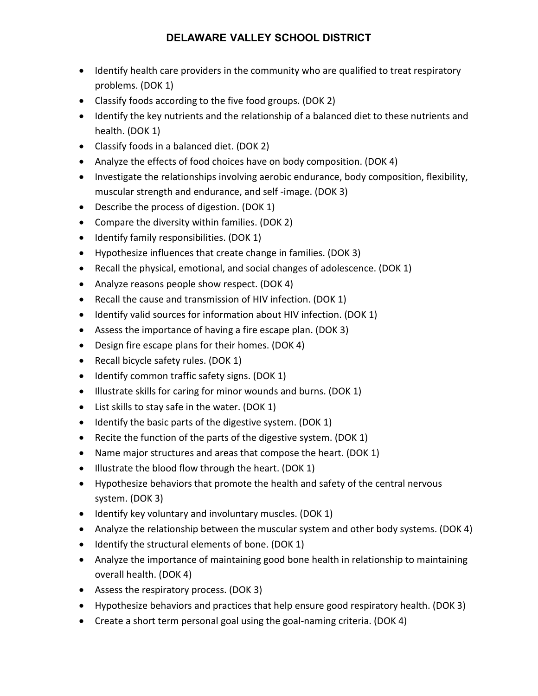- Identify health care providers in the community who are qualified to treat respiratory problems. (DOK 1)
- Classify foods according to the five food groups. (DOK 2)
- Identify the key nutrients and the relationship of a balanced diet to these nutrients and health. (DOK 1)
- Classify foods in a balanced diet. (DOK 2)
- Analyze the effects of food choices have on body composition. (DOK 4)
- Investigate the relationships involving aerobic endurance, body composition, flexibility, muscular strength and endurance, and self -image. (DOK 3)
- Describe the process of digestion. (DOK 1)
- Compare the diversity within families. (DOK 2)
- Identify family responsibilities. (DOK 1)
- Hypothesize influences that create change in families. (DOK 3)
- Recall the physical, emotional, and social changes of adolescence. (DOK 1)
- Analyze reasons people show respect. (DOK 4)
- Recall the cause and transmission of HIV infection. (DOK 1)
- Identify valid sources for information about HIV infection. (DOK 1)
- Assess the importance of having a fire escape plan. (DOK 3)
- Design fire escape plans for their homes. (DOK 4)
- Recall bicycle safety rules. (DOK 1)
- Identify common traffic safety signs. (DOK 1)
- Illustrate skills for caring for minor wounds and burns. (DOK 1)
- List skills to stay safe in the water. (DOK 1)
- Identify the basic parts of the digestive system. (DOK 1)
- Recite the function of the parts of the digestive system. (DOK 1)
- Name major structures and areas that compose the heart. (DOK 1)
- Illustrate the blood flow through the heart. (DOK 1)
- Hypothesize behaviors that promote the health and safety of the central nervous system. (DOK 3)
- Identify key voluntary and involuntary muscles. (DOK 1)
- Analyze the relationship between the muscular system and other body systems. (DOK 4)
- Identify the structural elements of bone. (DOK 1)
- Analyze the importance of maintaining good bone health in relationship to maintaining overall health. (DOK 4)
- Assess the respiratory process. (DOK 3)
- Hypothesize behaviors and practices that help ensure good respiratory health. (DOK 3)
- Create a short term personal goal using the goal-naming criteria. (DOK 4)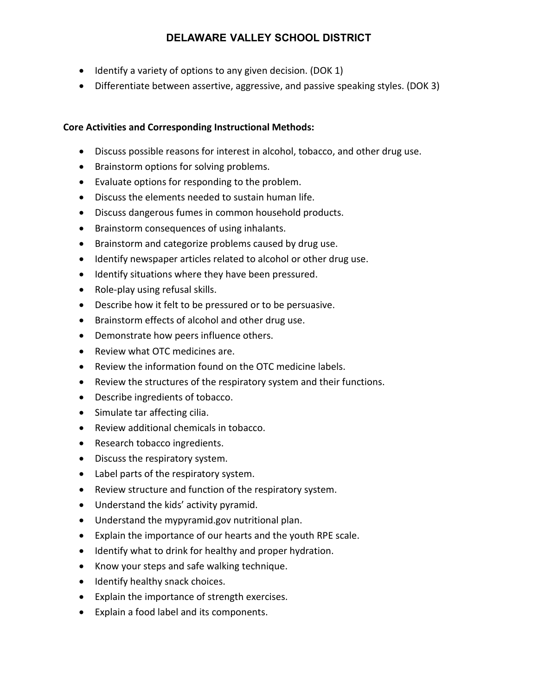- Identify a variety of options to any given decision. (DOK 1)
- Differentiate between assertive, aggressive, and passive speaking styles. (DOK 3)

#### **Core Activities and Corresponding Instructional Methods:**

- Discuss possible reasons for interest in alcohol, tobacco, and other drug use.
- Brainstorm options for solving problems.
- Evaluate options for responding to the problem.
- Discuss the elements needed to sustain human life.
- Discuss dangerous fumes in common household products.
- Brainstorm consequences of using inhalants.
- Brainstorm and categorize problems caused by drug use.
- Identify newspaper articles related to alcohol or other drug use.
- Identify situations where they have been pressured.
- Role-play using refusal skills.
- Describe how it felt to be pressured or to be persuasive.
- Brainstorm effects of alcohol and other drug use.
- Demonstrate how peers influence others.
- Review what OTC medicines are.
- Review the information found on the OTC medicine labels.
- Review the structures of the respiratory system and their functions.
- Describe ingredients of tobacco.
- Simulate tar affecting cilia.
- Review additional chemicals in tobacco.
- Research tobacco ingredients.
- Discuss the respiratory system.
- Label parts of the respiratory system.
- Review structure and function of the respiratory system.
- Understand the kids' activity pyramid.
- Understand the mypyramid.gov nutritional plan.
- Explain the importance of our hearts and the youth RPE scale.
- Identify what to drink for healthy and proper hydration.
- Know your steps and safe walking technique.
- Identify healthy snack choices.
- Explain the importance of strength exercises.
- Explain a food label and its components.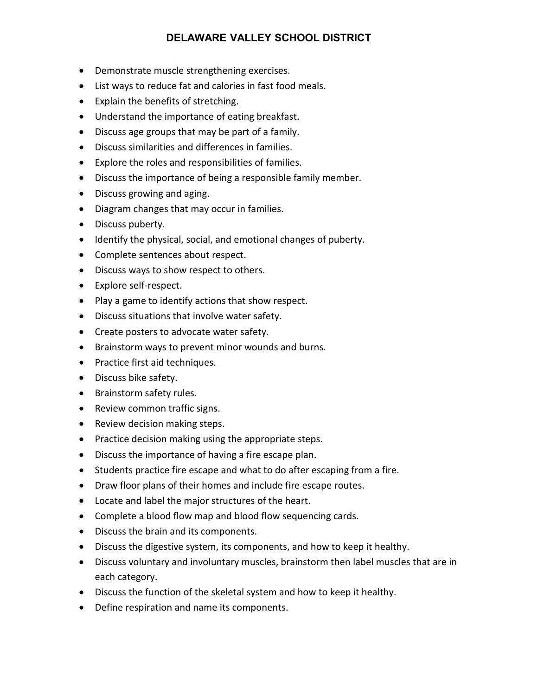- Demonstrate muscle strengthening exercises.
- List ways to reduce fat and calories in fast food meals.
- Explain the benefits of stretching.
- Understand the importance of eating breakfast.
- Discuss age groups that may be part of a family.
- Discuss similarities and differences in families.
- Explore the roles and responsibilities of families.
- Discuss the importance of being a responsible family member.
- Discuss growing and aging.
- Diagram changes that may occur in families.
- Discuss puberty.
- Identify the physical, social, and emotional changes of puberty.
- Complete sentences about respect.
- Discuss ways to show respect to others.
- Explore self-respect.
- Play a game to identify actions that show respect.
- Discuss situations that involve water safety.
- Create posters to advocate water safety.
- Brainstorm ways to prevent minor wounds and burns.
- Practice first aid techniques.
- Discuss bike safety.
- Brainstorm safety rules.
- Review common traffic signs.
- Review decision making steps.
- Practice decision making using the appropriate steps.
- Discuss the importance of having a fire escape plan.
- Students practice fire escape and what to do after escaping from a fire.
- Draw floor plans of their homes and include fire escape routes.
- Locate and label the major structures of the heart.
- Complete a blood flow map and blood flow sequencing cards.
- Discuss the brain and its components.
- Discuss the digestive system, its components, and how to keep it healthy.
- Discuss voluntary and involuntary muscles, brainstorm then label muscles that are in each category.
- Discuss the function of the skeletal system and how to keep it healthy.
- Define respiration and name its components.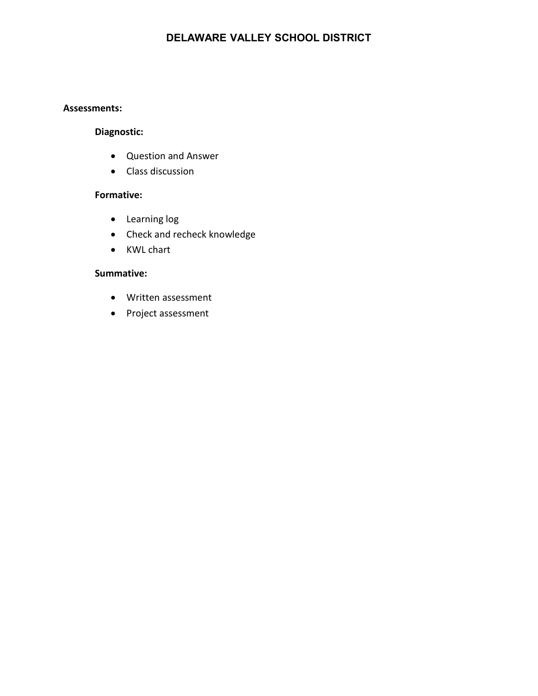#### **Assessments:**

#### **Diagnostic:**

- Question and Answer
- Class discussion

#### **Formative:**

- Learning log
- Check and recheck knowledge
- KWL chart

#### **Summative:**

- Written assessment
- Project assessment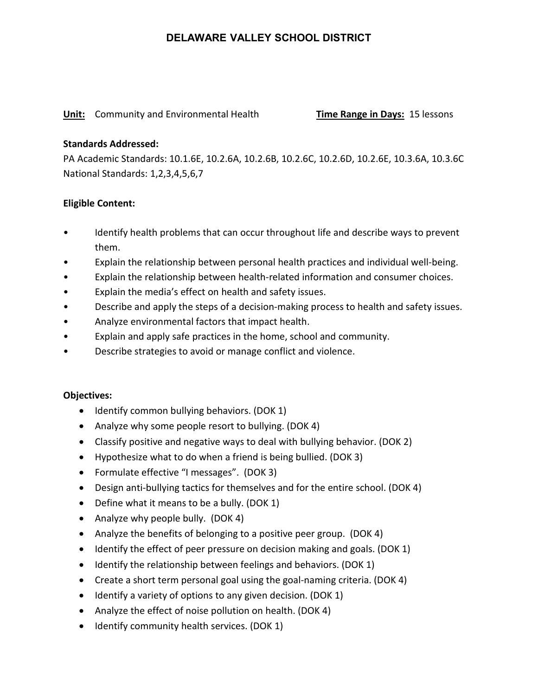#### **Unit:** Community and Environmental Health **Time Range in Days:** 15 lessons

#### **Standards Addressed:**

PA Academic Standards: 10.1.6E, 10.2.6A, 10.2.6B, 10.2.6C, 10.2.6D, 10.2.6E, 10.3.6A, 10.3.6C National Standards: 1,2,3,4,5,6,7

#### **Eligible Content:**

- Identify health problems that can occur throughout life and describe ways to prevent them.
- Explain the relationship between personal health practices and individual well-being.
- Explain the relationship between health-related information and consumer choices.
- Explain the media's effect on health and safety issues.
- Describe and apply the steps of a decision-making process to health and safety issues.
- Analyze environmental factors that impact health.
- Explain and apply safe practices in the home, school and community.
- Describe strategies to avoid or manage conflict and violence.

#### **Objectives:**

- Identify common bullying behaviors. (DOK 1)
- Analyze why some people resort to bullying. (DOK 4)
- Classify positive and negative ways to deal with bullying behavior. (DOK 2)
- Hypothesize what to do when a friend is being bullied. (DOK 3)
- Formulate effective "I messages". (DOK 3)
- Design anti-bullying tactics for themselves and for the entire school. (DOK 4)
- Define what it means to be a bully. (DOK 1)
- Analyze why people bully. (DOK 4)
- Analyze the benefits of belonging to a positive peer group. (DOK 4)
- Identify the effect of peer pressure on decision making and goals. (DOK 1)
- Identify the relationship between feelings and behaviors. (DOK 1)
- Create a short term personal goal using the goal-naming criteria. (DOK 4)
- Identify a variety of options to any given decision. (DOK 1)
- Analyze the effect of noise pollution on health. (DOK 4)
- Identify community health services. (DOK 1)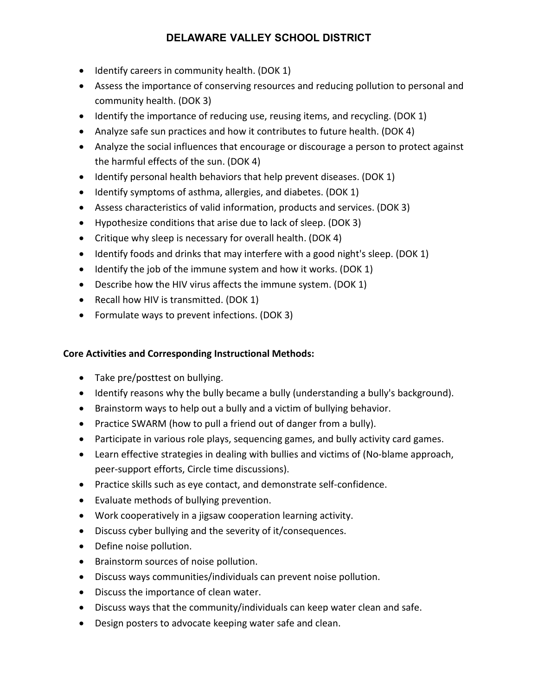- Identify careers in community health. (DOK 1)
- Assess the importance of conserving resources and reducing pollution to personal and community health. (DOK 3)
- Identify the importance of reducing use, reusing items, and recycling. (DOK 1)
- Analyze safe sun practices and how it contributes to future health. (DOK 4)
- Analyze the social influences that encourage or discourage a person to protect against the harmful effects of the sun. (DOK 4)
- Identify personal health behaviors that help prevent diseases. (DOK 1)
- Identify symptoms of asthma, allergies, and diabetes. (DOK 1)
- Assess characteristics of valid information, products and services. (DOK 3)
- Hypothesize conditions that arise due to lack of sleep. (DOK 3)
- Critique why sleep is necessary for overall health. (DOK 4)
- Identify foods and drinks that may interfere with a good night's sleep. (DOK 1)
- Identify the job of the immune system and how it works. (DOK 1)
- Describe how the HIV virus affects the immune system. (DOK 1)
- Recall how HIV is transmitted. (DOK 1)
- Formulate ways to prevent infections. (DOK 3)

#### **Core Activities and Corresponding Instructional Methods:**

- Take pre/posttest on bullying.
- Identify reasons why the bully became a bully (understanding a bully's background).
- Brainstorm ways to help out a bully and a victim of bullying behavior.
- Practice SWARM (how to pull a friend out of danger from a bully).
- Participate in various role plays, sequencing games, and bully activity card games.
- Learn effective strategies in dealing with bullies and victims of (No-blame approach, peer-support efforts, Circle time discussions).
- Practice skills such as eye contact, and demonstrate self-confidence.
- Evaluate methods of bullying prevention.
- Work cooperatively in a jigsaw cooperation learning activity.
- Discuss cyber bullying and the severity of it/consequences.
- Define noise pollution.
- Brainstorm sources of noise pollution.
- Discuss ways communities/individuals can prevent noise pollution.
- Discuss the importance of clean water.
- Discuss ways that the community/individuals can keep water clean and safe.
- Design posters to advocate keeping water safe and clean.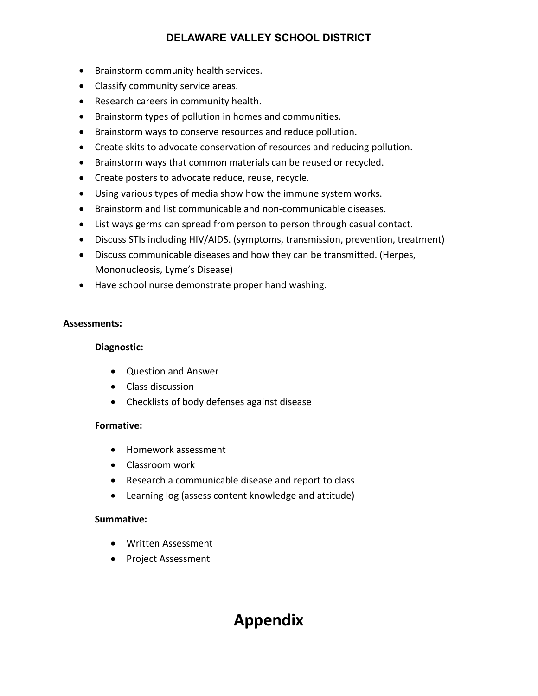- Brainstorm community health services.
- Classify community service areas.
- Research careers in community health.
- Brainstorm types of pollution in homes and communities.
- Brainstorm ways to conserve resources and reduce pollution.
- Create skits to advocate conservation of resources and reducing pollution.
- Brainstorm ways that common materials can be reused or recycled.
- Create posters to advocate reduce, reuse, recycle.
- Using various types of media show how the immune system works.
- Brainstorm and list communicable and non-communicable diseases.
- List ways germs can spread from person to person through casual contact.
- Discuss STIs including HIV/AIDS. (symptoms, transmission, prevention, treatment)
- Discuss communicable diseases and how they can be transmitted. (Herpes, Mononucleosis, Lyme's Disease)
- Have school nurse demonstrate proper hand washing.

#### **Assessments:**

#### **Diagnostic:**

- Question and Answer
- Class discussion
- Checklists of body defenses against disease

#### **Formative:**

- Homework assessment
- Classroom work
- Research a communicable disease and report to class
- Learning log (assess content knowledge and attitude)

#### **Summative:**

- Written Assessment
- Project Assessment

## **Appendix**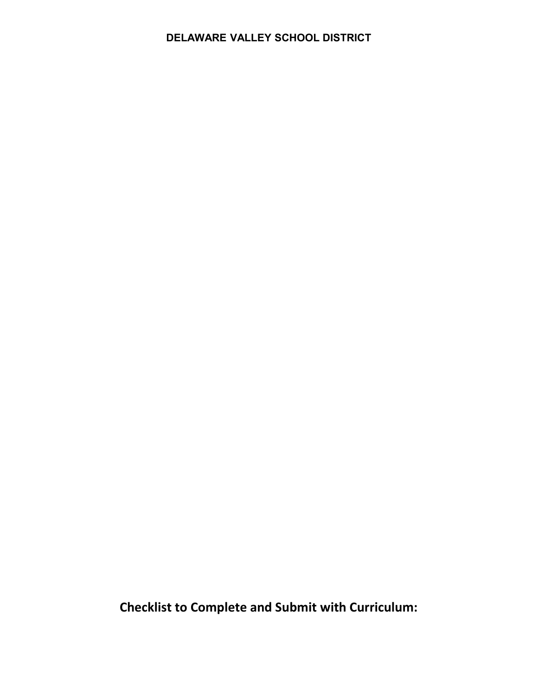**Checklist to Complete and Submit with Curriculum:**